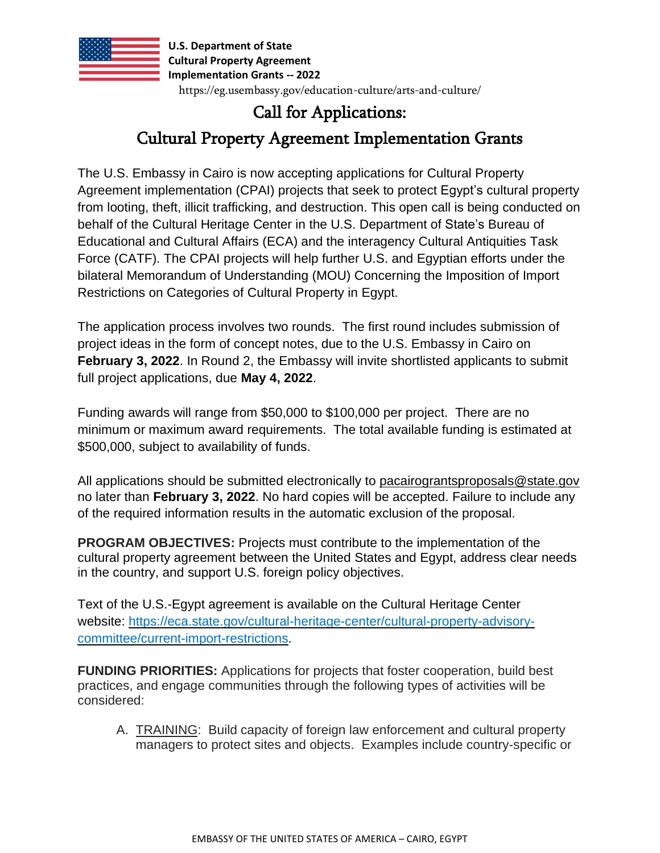

# Call for Applications:

## Cultural Property Agreement Implementation Grants

The U.S. Embassy in Cairo is now accepting applications for Cultural Property Agreement implementation (CPAI) projects that seek to protect Egypt's cultural property from looting, theft, illicit trafficking, and destruction. This open call is being conducted on behalf of the Cultural Heritage Center in the U.S. Department of State's Bureau of Educational and Cultural Affairs (ECA) and the interagency Cultural Antiquities Task Force (CATF). The CPAI projects will help further U.S. and Egyptian efforts under the bilateral Memorandum of Understanding (MOU) Concerning the Imposition of Import Restrictions on Categories of Cultural Property in Egypt.

The application process involves two rounds. The first round includes submission of project ideas in the form of concept notes, due to the U.S. Embassy in Cairo on **February 3, 2022**. In Round 2, the Embassy will invite shortlisted applicants to submit full project applications, due **May 4, 2022**.

Funding awards will range from \$50,000 to \$100,000 per project. There are no minimum or maximum award requirements. The total available funding is estimated at \$500,000, subject to availability of funds.

All applications should be submitted electronically to [pacairograntsproposals@state.gov](mailto:pacairograntsproposals@state.gov) no later than **February 3, 2022**. No hard copies will be accepted. Failure to include any of the required information results in the automatic exclusion of the proposal.

**PROGRAM OBJECTIVES:** Projects must contribute to the implementation of the cultural property agreement between the United States and Egypt, address clear needs in the country, and support U.S. foreign policy objectives.

Text of the U.S.-Egypt agreement is available on the Cultural Heritage Center website: [https://eca.state.gov/cultural-heritage-center/cultural-property-advisory](https://eca.state.gov/cultural-heritage-center/cultural-property-advisory-committee/current-import-restrictions)[committee/current-import-restrictions.](https://eca.state.gov/cultural-heritage-center/cultural-property-advisory-committee/current-import-restrictions)

**FUNDING PRIORITIES:** Applications for projects that foster cooperation, build best practices, and engage communities through the following types of activities will be considered:

A. TRAINING: Build capacity of foreign law enforcement and cultural property managers to protect sites and objects. Examples include country-specific or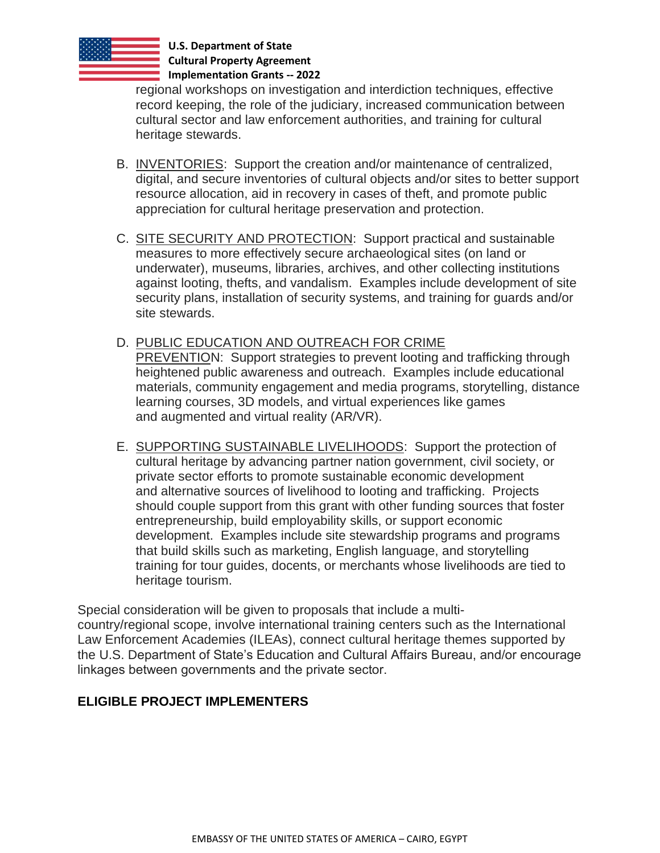

regional workshops on investigation and interdiction techniques, effective record keeping, the role of the judiciary, increased communication between cultural sector and law enforcement authorities, and training for cultural heritage stewards.

- B. INVENTORIES: Support the creation and/or maintenance of centralized, digital, and secure inventories of cultural objects and/or sites to better support resource allocation, aid in recovery in cases of theft, and promote public appreciation for cultural heritage preservation and protection.
- C. SITE SECURITY AND PROTECTION: Support practical and sustainable measures to more effectively secure archaeological sites (on land or underwater), museums, libraries, archives, and other collecting institutions against looting, thefts, and vandalism. Examples include development of site security plans, installation of security systems, and training for guards and/or site stewards.
- D. PUBLIC EDUCATION AND OUTREACH FOR CRIME PREVENTION: Support strategies to prevent looting and trafficking through heightened public awareness and outreach. Examples include educational materials, community engagement and media programs, storytelling, distance learning courses, 3D models, and virtual experiences like games and augmented and virtual reality (AR/VR).
- E. SUPPORTING SUSTAINABLE LIVELIHOODS: Support the protection of cultural heritage by advancing partner nation government, civil society, or private sector efforts to promote sustainable economic development and alternative sources of livelihood to looting and trafficking. Projects should couple support from this grant with other funding sources that foster entrepreneurship, build employability skills, or support economic development. Examples include site stewardship programs and programs that build skills such as marketing, English language, and storytelling training for tour guides, docents, or merchants whose livelihoods are tied to heritage tourism.

Special consideration will be given to proposals that include a multicountry/regional scope, involve international training centers such as the International Law Enforcement Academies (ILEAs), connect cultural heritage themes supported by the U.S. Department of State's Education and Cultural Affairs Bureau, and/or encourage linkages between governments and the private sector. 

#### **ELIGIBLE PROJECT IMPLEMENTERS**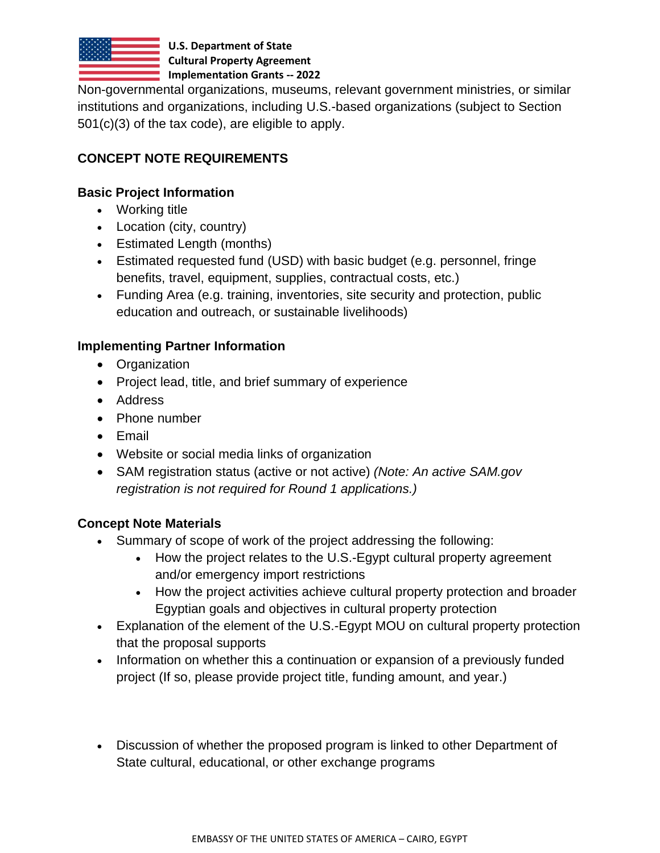

Non-governmental organizations, museums, relevant government ministries, or similar institutions and organizations, including U.S.-based organizations (subject to Section 501(c)(3) of the tax code), are eligible to apply.

### **CONCEPT NOTE REQUIREMENTS**

#### **Basic Project Information**

- Working title
- Location (city, country)
- Estimated Length (months)
- Estimated requested fund (USD) with basic budget (e.g. personnel, fringe benefits, travel, equipment, supplies, contractual costs, etc.)
- Funding Area (e.g. training, inventories, site security and protection, public education and outreach, or sustainable livelihoods)

#### **Implementing Partner Information**

- Organization
- Project lead, title, and brief summary of experience
- Address
- Phone number
- Email
- Website or social media links of organization
- SAM registration status (active or not active) *(Note: An active SAM.gov registration is not required for Round 1 applications.)*

#### **Concept Note Materials**

- Summary of scope of work of the project addressing the following:
	- How the project relates to the U.S.-Egypt cultural property agreement and/or emergency import restrictions
	- How the project activities achieve cultural property protection and broader Egyptian goals and objectives in cultural property protection
- Explanation of the element of the U.S.-Egypt MOU on cultural property protection that the proposal supports
- Information on whether this a continuation or expansion of a previously funded project (If so, please provide project title, funding amount, and year.)
- Discussion of whether the proposed program is linked to other Department of State cultural, educational, or other exchange programs